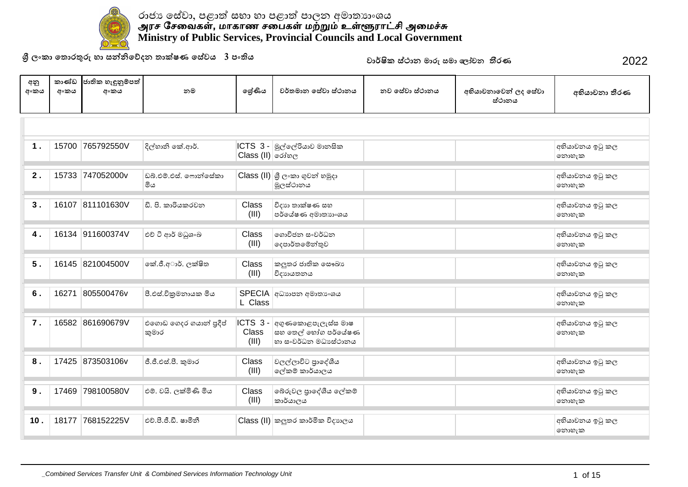

**ɼˢʭˁ˫˳˔ʣˡƱɞ˧˫˦Ǧǧ˳ɩ˖˘˔˫ú˥˒˳˦ʢˣˠ3˚ʭƯˠ** 2022

| අනු<br>අංකය | කාණ්ඩ<br>අංකය | ජාතික හැඳුනුම්පත්<br>අංකය | නම                              | ලේණිය                     | වර්තමාන සේවා ස්ථානය                                                        | නව සේවා ස්ථානය | අභියාචනාවෙන් ලද සේවා<br>ස්ථානය | අභියාචනා තීරණ            |
|-------------|---------------|---------------------------|---------------------------------|---------------------------|----------------------------------------------------------------------------|----------------|--------------------------------|--------------------------|
|             |               |                           |                                 |                           |                                                                            |                |                                |                          |
| 1.          | 15700         | 765792550V                | දිල්හානි කේ.ආර්.                | Class (II) රෝහල           | ICTS 3 - මුල්ලේරියාව මානසික                                                |                |                                | අභියාවනය ඉටු කල<br>නොහැක |
| 2.          |               | 15733 747052000v          | ඩබ්.එම්.එස්. ෆොන්සේකා<br>මිය    |                           | $\textsf{Class}\left(\textsf{II}\right)$ ශූී ලංකා ගුවන් හමුදා<br>මූලස්ථානය |                |                                | අභියාචනය ඉටු කල<br>නොහැක |
| 3.          | 16107         | 811101630V                | ඩි. පි. කාරියකරවන               | Class<br>(III)            | විදාහ තාක්ෂණ සහ<br>පර්යේෂණ අමාතාහංශය                                       |                |                                | අභියාචනය ඉටු කල<br>෩෨෭ක  |
| 4.          |               | 16134 911600374V          | එච් ටි ආර් මධුශංඛ               | Class<br>(III)            | ගොවිජන සංවර්ධන<br>දෙපාර්තමේන්තුව                                           |                |                                | අභියාවනය ඉටු කල<br>෩හැක  |
| 5.          |               | 16145 821004500V          | කේ.ජී.අාර්. ලක්ෂිත              | Class<br>(III)            | කලුතර ජාතික සෞඛා<br>විදාහයතනය                                              |                |                                | අභියාචනය ඉටු කල<br>෩෨෭ක  |
| 6.          | 16271         | 805500476v                | පී.එස්.විකුමනායක මිය            | L Class                   | SPECIA අධාහාපන අමාතා ංශය                                                   |                |                                | අභියාචනය ඉටු කල<br>෩෨෭ක  |
| 7.          |               | 16582 861690679V          | එගොඩ ගෙදර ගයාන් පුදීප්<br>කුමාර | ICTS 3-<br>Class<br>(III) | අගුණකොළපැලැස්ස මාෂ<br>සහ තෙල් හෝග පර්යේෂණ<br>හා සංවර්ධන මධාසේථානය          |                |                                | අභියාචනය ඉටු කල<br>නොහැක |
| 8.          |               | 17425 873503106v          | ජී.ජී.එස්.පී. කුමාර             | Class<br>(III)            | වලල්ලාවිට පුාදේශීය<br>ලේකම් කාර්යාලය                                       |                |                                | අභියාචනය ඉටු කල<br>෩හැක  |
| 9.          | 17469         | 798100580V                | එම්. වයි. ලක්මිණි මිය           | Class<br>(III)            | බේරුවල පාදේශීය ලේකම්<br>කාර්යාලය                                           |                |                                | අභියාවනය ඉටු කල<br>නොහැක |
| 10.         | 18177         | 768152225V                | එච්.පී.ජී.ඩී. ෂාමිනී            |                           | Class (II) කලුතර කාර්මික විදාහලය                                           |                |                                | අභියාචනය ඉටු කල<br>නොහැක |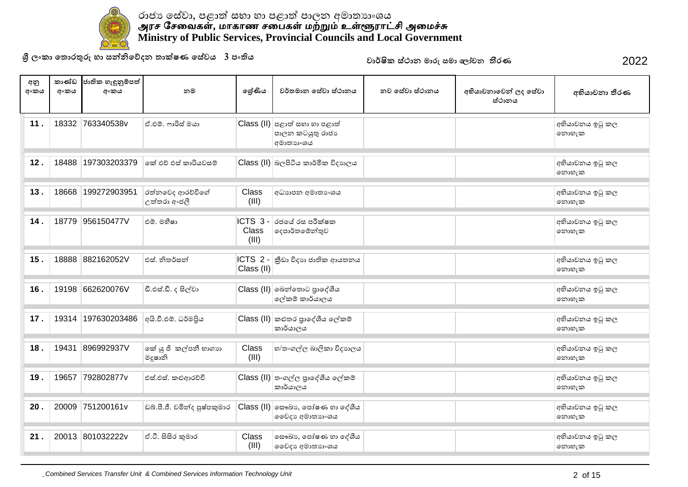

**ɼˢʭˁ˫˳˔ʣˡƱɞ˧˫˦Ǧǧ˳ɩ˖˘˔˫ú˥˒˳˦ʢˣˠ3˚ʭƯˠ** 2022

| අනු<br>අංකය     | කාණ්ඩ<br>අංකය | ජාතික හැඳුනුම්පත්<br>අංකය | නම                               | ලශ්ණිය                    | වර්තමාන සේවා ස්ථානය                                                 | නව සේවා ස්ථානය | අභියාචනාවෙන් ලද සේවා<br>ස්ථානය | අභියාචනා තීරණ            |
|-----------------|---------------|---------------------------|----------------------------------|---------------------------|---------------------------------------------------------------------|----------------|--------------------------------|--------------------------|
| 11.             |               | 18332 763340538v          | ඒ.එම්. ෆාරිස් මයා                |                           | $Class$ (II) පළාත් සභා හා පළාත්<br>පාලන කටයුතු රාජා<br>අමාතාගංශය    |                |                                | අභියාවනය ඉටු කල<br>නොහැක |
| 12.             | 18488         | 197303203379              | කේ එච් එස් කාරියවසම්             |                           | Class (II) බලපිටිය කාර්මික විදාහලය                                  |                |                                | අභියාවනය ඉටු කල<br>නොහැක |
| 13.             | 18668         | 199272903951              | රත්නවෙද ආරච්චිගේ<br>උත්තරා අංජලී | Class<br>(III)            | අධාහපන අමාතා ංශය                                                    |                |                                | අභියාචනය ඉටු කල<br>නොහැක |
| 14.             | 18779         | 956150477V                | එම්, මහීෂා                       | ICTS 3-<br>Class<br>(III) | රජයේ රස පරීක්ෂක<br> ලදපාර්තමේන්තුව                                  |                |                                | අභියාචනය ඉටු කල<br>නොහැක |
| 15.             | 18888         | 882162052V                | එස්, නිතර්සන්                    | ICTS 2 -<br>Class (II)    | කීඩා විදාහ ජාතික ආයතනය                                              |                |                                | අභියාචනය ඉටු කල<br>නොහැක |
| 16.             | 19198         | 662620076V                | ඩී.එස්.ඩී. ද සිල්වා              |                           | Class (II) බෙන්තොට පුාදේශීය<br>ලේකම් කාර්යාලය                       |                |                                | අභියාවනය ඉටු කල<br>නොහැක |
| 17.             | 19314         | 197630203486              | අයි.වී.එම්. ධර්මපිය              |                           | Class (II) කළුතර පුාදේශීය ලේකම්<br>කාර්යාලය                         |                |                                | අභියාචනය ඉටු කල<br>නොහැක |
| 18.             | 19431         | 896992937V                | කේ යු ජී කල්පනී හාගාහ<br>මදූෂානි | Class<br>(III)            | හ/තංගල්ල බාලිකා විදාහලය                                             |                |                                | අභියාචනය ඉටු කල<br>නොහැක |
| 19.             | 19657         | 792802877v                | එස්.එස්. කළුආරච්චි               |                           | Class (II) තංගල්ල පුාදේශීය ලේකම්<br>කාර්යාලය                        |                |                                | අභියාචනය ඉටු කල<br>නොහැක |
| 20 <sub>1</sub> | 20009         | 751200161v                | ඩබ්.පී.ජී. චමින්ද පුෂ්පකුමාර     |                           | $Class$ (II) $\circ$ සෟඛා $\circ$ , පෝෂණ හා දේශීය<br>මෛදා අමාතාගංශය |                |                                | අභියාවනය ඉටු කල<br>නොහැක |
| 21.             | 20013         | 801032222v                | ඒ.ටී. සිසිර කුමාර                | Class<br>(III)            | සෞඛා නපාර්ෂණ හා දේශීය<br>මෛදා අමාතාා∘ශය                             |                |                                | අභියාවනය ඉටු කල<br>නොහැක |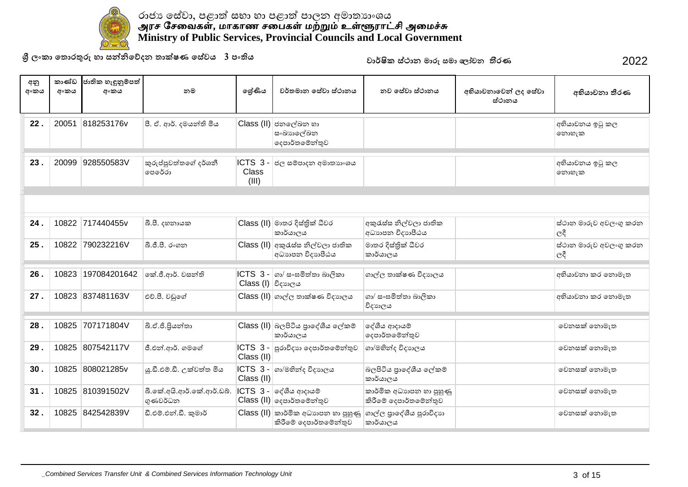

**ɼˢʭˁ˫˳˔ʣˡƱɞ˧˫˦Ǧǧ˳ɩ˖˘˔˫ú˥˒˳˦ʢˣˠ3˚ʭƯˠ** 2022

| අනු<br>අංකය | කාණ්ඩ<br>අංකය | ජාතික හැඳුනුම්පත්<br>අංකය | නම                                    | ලශ්ණිය                              | වර්තමාන සේවා ස්ථානය                                                                                | නුව සේවා ස්ථානය                                   | අභියාචනාවෙන් ලද සේවා<br>ස්ථානය | අභියාචනා තීරණ                 |
|-------------|---------------|---------------------------|---------------------------------------|-------------------------------------|----------------------------------------------------------------------------------------------------|---------------------------------------------------|--------------------------------|-------------------------------|
| 22.         | 20051         | 818253176v                | පී. ඒ. ආර්. දමයන්ති මිය               | Class (II)                          | ජනලේඛන හා<br>සංඛාහලේඛන<br> ලදපාර්තමේන්තුව                                                          |                                                   |                                | අභියාචනය ඉටු කල<br>නොහැක      |
| 23.         | 20099         | 928550583V                | කුරුප්පුවත්තගේ දර්ශනී<br>පෙරේරා       | ICTS <sub>3</sub><br>Class<br>(III) | ජල සම්පාදන අමාතාහංශය                                                                               |                                                   |                                | අභියාචනය ඉටු කල<br>නොහැක      |
|             |               |                           |                                       |                                     |                                                                                                    |                                                   |                                |                               |
| 24.         |               | 10822 717440455v          | බී.පී. දහනායක                         |                                     | Class (II) මාතර දිස්තික් ධීවර<br>කාර්යාලය                                                          | අකුරැස්ස නිල්වලා ජාතික<br>අධාහපන විදාහපීඨය        |                                | ස්ථාන මාරුව අවලංගු කරන<br>ලදී |
| 25.         |               | 10822 790232216V          | බී.ජී.පී. රංගන                        |                                     | $Class (II)$ අකුරැස්ස නිල්වලා ජාතික<br>අධාහපන විදාහපීඨය                                            | මාතර දිස්තික් ධීවර<br>කාර්යාලය                    |                                | ස්ථාන මාරුව අවලංගු කරන<br>ලදී |
| 26.         | 10823         | 197084201642              | කේ.ජී.ආර්. වසන්ති                     | Class (I) විදාහලය                   | $\textsf{ICTS} \ \ 3$ - $\textsf{so} / \texttt{co} \cdot \texttt{co} \cdot \texttt{S}$ ත්තා බාලිකා | ගාල්ල තාක්ෂණ විදාහලය                              |                                | අභියාවනා කර නොමැත             |
| 27.         |               | 10823 837481163V          | එච්.පී. වඩුගේ                         |                                     | Class (II) ගාල්ල තාක්ෂණ විදාහලය                                                                    | ගා/ සංඝමිත්තා බාලිකා<br>විදාහලය                   |                                | අභියාවනා කර නොමැත             |
| 28.         | 10825         | 707171804V                | බී.ඒ.ජී.පියන්තා                       |                                     | Class (II) බලපිටිය පාදේශීය ලේකම්<br>කාර්යාලය                                                       | ලද්ශීය ආදායම්<br>දෙපාර්තමෙන්තුව                   |                                | වෙනසක් නොමැත                  |
| 29.         | 10825         | 807542117V                | ජී.එන්.ආර්. ගමගේ                      | Class (II)                          | $\textsf{ICTS}$ 3 - පුරාවිදාහ දෙපාර්තමේන්තුව                                                       | ගා/මහින්ද විදාහලය                                 |                                | වෙනසක් නොමැත                  |
| 30.         | 10825         | 808021285v                | ශු.ඩී.එම්.ඩී. උක්වත්ත මිය             | Class (II)                          | lCTS 3 -  ගා/මහින්ද විදාහලය                                                                        | බලපිටිය පාදේශීය ලේකම්<br>කාර්යාලය                 |                                | වෙනසක් නොමැත                  |
| 31.         | 10825         | 810391502V                | බී.කේ.අයි.ආර්.කේ.ආර්.ඩබ්.<br>ගුණවර්ධන |                                     | $\textsf{ICTS}$ 3 - $\textsf{or}$ ගිය ආදායම්<br>Class (II) දෙපාර්තමේන්තුව                          | කාර්මික අධාහපන හා පුහුණු<br>කිරීමේ දෙපාර්තමේන්තුව |                                | වෙනසක් නොමැත                  |
| 32.         |               | 10825 842542839V          | ඩී.එම්.එන්.ඩී. කුමාර්                 |                                     | $\textsf{Class}\left(\textsf{II}\right)$ කාර්මික අධාහපන හා පුහුණු<br>කිරීමේ දෙපාර්තමේන්තුව         | ගාල්ල පාදේශීය පුරාවිදාහ<br>කාර්යාලය               |                                | වෙනසක් නොමැත                  |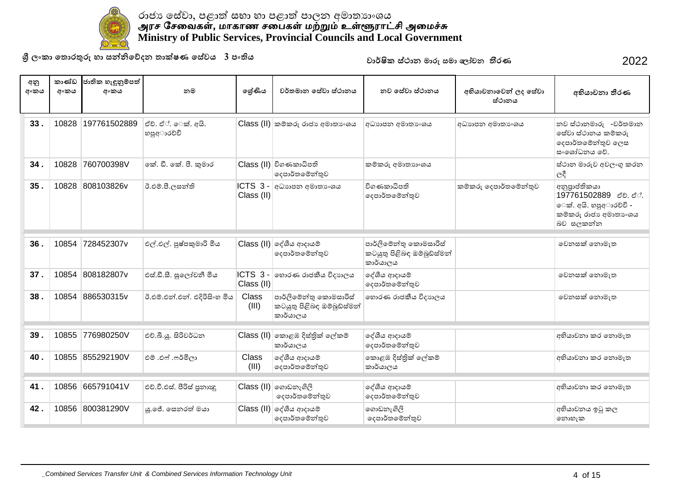

**ɼˢʭˁ˫˳˔ʣˡƱɞ˧˫˦Ǧǧ˳ɩ˖˘˔˫ú˥˒˳˦ʢˣˠ3˚ʭƯˠ** 2022

| අනු<br>අංකය | කාණ්ඩ<br>අංකය | ජාතික හැඳුනුම්පත්<br>අංකය | නම                               | ලේණිය                    | වර්තමාන සේවා ස්ථානය                                              | නව සේවා ස්ථානය                                                   | අභියාචනාවෙන් ලද සේවා<br>ස්ථානය | අභියාචනා තීරණ                                                                                      |
|-------------|---------------|---------------------------|----------------------------------|--------------------------|------------------------------------------------------------------|------------------------------------------------------------------|--------------------------------|----------------------------------------------------------------------------------------------------|
| 33.         | 10828         | 197761502889              | ඒච්. ඒ්. ෙක්. අයි.<br>හපුඅාරච්චි |                          | $Class (II)$ කම්කරු රාජා අමාතාංශය                                | අධාහපන අමාතා ශය                                                  | අධාහපන අමාතා ංශය               | නව ස්ථානමාරු -වර්තමාන<br>සේවා ස්ථානය කම්කරු<br>දෙපාර්තමේන්තුව ලෙස<br>සංශෝධනය වේ.                   |
| 34.         | 10828         | 760700398V                | කේ. ඩී. කේ. පී. කුමාර            |                          | Class (II) විගණකාධිපති<br>දෙපාර්තමේන්තුව                         | කම්කරු අමාතනංශය                                                  |                                | ස්ථාන මාරුව අවලංගු කරන<br>ලදී                                                                      |
| 35.         | 10828         | 808103826v                | ඊ.එම්.පී.ලසන්ති                  | $ICTS_3 -$<br>Class (II) | අධාහපන අමාතාංශය                                                  | විගණකාධිපති<br>දෙපාර්තමේන්තුව                                    | කම්කරු දෙපාර්තමේන්තුව          | අනුපාප්තිකයා<br>197761502889 ඒව. ඒ්.<br>ෙක්. අයි. හපුඅාරචචි -<br>කම්කරු රාජා අමාතා ශය<br>බව සලකන්න |
| 36.         | 10854         | 728452307v                | එල්.එල්. පුෂ්පකුමාරි මිය         |                          | Class (II) ලද්ශීය ආදායම්<br>දෙපාර්තමෙන්තුව                       | පාර්ලිමේන්තු කොමසාරිස්<br>කටයුතු පිළිබඳ ඔම්බුඩ්ස්මන්<br>කාර්යාලය |                                | වෙනසක් නොමැත                                                                                       |
| 37.         | 10854         | 808182807v                | එස්.ඩී.සී. සුලෝචනී මිය           | ICTS 3-<br>Class (II)    | හොරණ රාජකීය විදාහලය                                              | දේශීය ආදායම්<br>දෙපාර්තමේන්තුව                                   |                                | වෙනසක් නොමැත                                                                                       |
| 38.         | 10854         | 886530315v                | ඊ.එම්.එන්.එන්. එදිරිසිංහ මිය     | Class<br>(III)           | පාර්ලිමේන්තු කොමසාරිස්<br>කටයුතු පිළිබඳ ඔම්බුඩ්ස්මන්<br>කාර්යාලය | හොරණ රාජකීය විදාහලය                                              |                                | වෙනසක් නොමැත                                                                                       |
| 39.         | 10855         | 776980250V                | එච්.බී.ශූ. සිරිවර්ධන             |                          | Class (II) නොළඹ දිස්තික් ලේකම්<br>කාර්යාලය                       | දේශීය ආදායම්<br> ලදපාර්තමේන්තුව                                  |                                | අභියාචනා කර නොමැත                                                                                  |
| 40.         |               | 10855 855292190V          | එම් .එෆ් .ෆර්මිලා                | Class<br>(III)           | දේශීය ආදායම්<br>දෙපාර්තමෙන්තුව                                   | කොළඹ දිස්තික් ලේකම්<br>කාර්යාලය                                  |                                | අභියාවනා කර නොමැත                                                                                  |
| 41.         | 10856         | 665791041V                | එච්.වී.එස්. පිරිස් පුනාඥු        |                          | $Class (II)$ ගොඩනැගිලි<br>දෙපාර්තමේන්තුව                         | දේශීය ආදායම්<br>ලදපාර්තමේන්තුව                                   |                                | අභියාචනා කර නොමැත                                                                                  |
| 42.         |               | 10856 800381290V          | යු.ජේ. සෙනරත් මයා                |                          | $Class$ (II) ලද්ශීය ආදායම්<br>දෙපාර්තමෙන්තුව                     | ගොඩනැගිලි<br>දෙපාර්තමේන්තුව                                      |                                | අභියාචනය ඉටු කල<br>නොහැක                                                                           |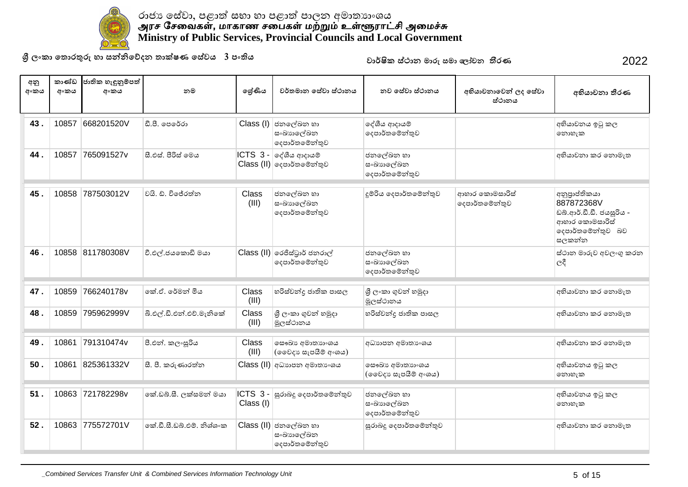

**ɼˢʭˁ˫˳˔ʣˡƱɞ˧˫˦Ǧǧ˳ɩ˖˘˔˫ú˥˒˳˦ʢˣˠ3˚ʭƯˠ** 2022

| අනු<br>අංකය | කාණ්ඩ<br>අංකය | ජාතික හැඳුනුම්පත්<br>අංකය | නම                        | ලශ්ණිය               | වර්තමාන සේවා ස්ථානය                                 | නව සේවා ස්ථානය                           | අභියාචනාවෙන් ලද සේවා<br>ස්ථානය   | අභියාචනා තීරණ                                                                                           |
|-------------|---------------|---------------------------|---------------------------|----------------------|-----------------------------------------------------|------------------------------------------|----------------------------------|---------------------------------------------------------------------------------------------------------|
| 43.         | 10857         | 668201520V                | ඩී.පී. පෙරේරා             | Class (I)            | ජනලේඛන හා<br>සංඛාහලේඛන<br>දෙපාර්තමේන්තුව            | දේශීය ආදායම්<br>දෙපාර්තමේන්තුව           |                                  | අභියාචනය ඉටු කල<br>නොහැක                                                                                |
| 44.         | 10857         | 765091527v                | සී.එස්. පීරිස් මෙය        |                      | ICTS 3 - ලද්ශීය ආදායම්<br>Class (II) දෙපාර්තමේන්තුව | ජනලේඛන හා<br>ස∘ඛාහලේඛන<br>දෙපාර්තමේන්තුව |                                  | අභියාචනා කර නොමැත                                                                                       |
| 45.         | 10858         | 787503012V                | වයි. ඩී. විජේරත්ත         | Class<br>(III)       | ජනලේඛන හා<br>සංඛාහලේඛන<br>දෙපාර්තමේන්තුව            | දූම්රිය දෙපාර්තමේන්තුව                   | ආහාර කොමසාරිස්<br>දෙපාර්තමේන්තුව | අනුපාප්තිකයා<br>887872368V<br>ඩබ්.ආර්.ඩී.ඩී. ජයසූරිය -<br>ආහාර කොමසාරිස්<br>දෙපාර්තමේන්තුව බව<br>සලකන්න |
| 46.         |               | 10858 811780308V          | වී.එල්.ජයකොඩි මයා         |                      | Class (II) රෙජිස්ටුාර් ජනරාල්<br>දෙපාර්තමෙන්තුව     | ජනලේඛන හා<br>සංඛාහලේඛන<br>දෙපාර්තමේන්තුව |                                  | ස්ථාන මාරුව අවලංගු කරන<br>ලදී                                                                           |
| 47.         | 10859         | 766240178v                | ්කේ.ඒ. රේමන් මිය          | Class<br>(III)       | හරිස්චන්දු ජාතික පාසල                               | ශී ලංකා ගුවන් හමුදා<br>මූලස්ථානය         |                                  | අභියාවනා කර නොමැත                                                                                       |
| 48.         | 10859         | 795962999V                | බී.එල්.ඩී.එන්.එච්.මැනිකේ  | Class<br>(III)       | ශී ලංකා ගුවන් හමුදා<br>මූලස්ථානය                    | හරිස්වන්දු ජාතික පාසල                    |                                  | අභියාචනා කර නොමැත                                                                                       |
| 49.         | 10861         | 791310474v                | පී.එන්. කලංසුරිය          | Class<br>(III)       | ලසෟඛා අමාතාගංශය<br>(ඉවෙදා සැපයීම් අංශය)             | අධාහපන අමාතා ංශය                         |                                  | අභියාවනා කර නොමැත                                                                                       |
| 50.         | 10861         | 825361332V                | සී. පී. කරුණාරත්ත         |                      | Class (II) අධාහපන අමාතාංශය                          | ලසෟඛා අමාතාහංශය<br>(ඉවෙදා සැපයීම් අංශය)  |                                  | අභියාචනය ඉටු කල<br>නොහැක                                                                                |
| 51.         | 10863         | 721782298v                | කේ.ඩබ්.සී. ලක්සමන් මයා    | ICTS 3-<br>Class (I) | සුරාබදු දෙපාර්තමේන්තුව                              | ජනලේඛන හා<br>ස∘ඛාහලේඛන<br>දෙපාර්තමේන්තුව |                                  | අභියාවනය ඉටු කල<br>නොහැක                                                                                |
| 52.         |               | 10863 775572701V          | කේ.ඩී.සී.ඩබ්.එම්, නිශ්ශංක |                      | Class (II) ජනලේඛන හා<br>සංඛාහලේඛන<br>දෙපාර්තමේන්තුව | සුරාබදු දෙපාර්තමේන්තුව                   |                                  | අභියාචනා කර නොමැත                                                                                       |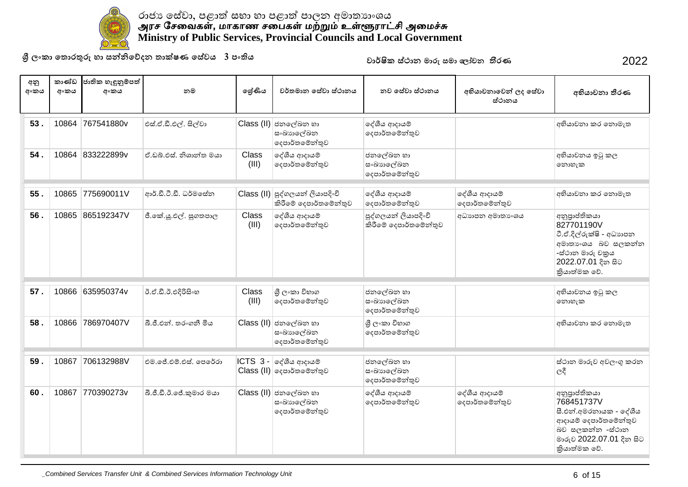

**ɼˢʭˁ˫˳˔ʣˡƱɞ˧˫˦Ǧǧ˳ɩ˖˘˔˫ú˥˒˳˦ʢˣˠ3˚ʭƯˠ** 2022

| අනු<br>අංකය | කාණ්ඩ<br>අංකය | ජාතික හැඳුනුම්පත්<br>අංකය | නම                      | ලශ්ණිය         | වර්තමාන සේවා ස්ථානය                                             | නව සේවා ස්ථානය                                | අභියාචනාවෙන් ලද සේවා<br>ස්ථානය | අභියාචනා තීරණ                                                                                                                                  |
|-------------|---------------|---------------------------|-------------------------|----------------|-----------------------------------------------------------------|-----------------------------------------------|--------------------------------|------------------------------------------------------------------------------------------------------------------------------------------------|
| 53.         | 10864         | 767541880v                | එස්.ඒ.ඩී.එල්. සිල්වා    |                | Class (II) ජනලේඛන හා<br>සංඛාහලේඛන<br>දෙපාර්තමේන්තුව             | දේශීය ආදායම්<br>දෙපාර්තමේන්තුව                |                                | අභියාවනා කර නොමැත                                                                                                                              |
| 54.         |               | 10864 833222899v          | ඒ.ඩබ්.එස්. නිශාන්ත මයා  | Class<br>(III) | දේශීය ආදායම්<br>දෙපාර්තමේන්තුව                                  | ජනලේඛන හා<br>සංඛාහලේඛන<br>දෙපාර්තමේන්තුව      |                                | අභියාචනය ඉටු කල<br>නොහැක                                                                                                                       |
| 55.         | 10865         | 775690011V                | ආර්.ඩී.ටී.ඩී. ධර්මසේත   |                | Class (II) පුද්ගලයන් ලියාපදිංචි<br>කිරීමේ දෙපාර්තමේන්තුව        | දේශීය ආදායම්<br>දෙපාර්තමේන්තුව                | දේශීය ආදායම්<br>දෙපාර්තමේන්තුව | අභියාචනා කර නොමැත                                                                                                                              |
| 56.         | 10865         | 865192347V                | ජී.කේ.යූ.එල්. සුගතපාල   | Class<br>(III) | දේශීය ආදායම්<br>දෙපාර්තමේන්තුව                                  | පුද්ගලයන් ලියාපදිංචි<br>කිරීමේ දෙපාර්තමේන්තුව | අධාහපන අමාතා ංශය               | අනුපාප්තිකයා<br>827701190V<br>ටී.ඒ.දිල්රුක්ෂි - අධාහපන<br>අමාතාංශය බව සලකන්න<br>-ස්ථාන මාරු චකුය<br>2022.07.01 දින සිට<br>කියාත්මක වේ.         |
| 57.         | 10866         | 635950374v                | ඊ.ඒ.ඩී.ඊ.එදිරිසිංහ      | Class<br>(III) | ශී ලංකා විහාග<br>දෙපාර්තමේන්තුව                                 | ජනලේඛන හා<br>සංඛාහලේඛන<br>දෙපාර්තමේන්තුව      |                                | අභියාචනය ඉටු කල<br>නොහැක                                                                                                                       |
| 58.         | 10866         | 786970407V                | බී.ජී.එන්. තරංගනී මිය   |                | Class (II) ජනලේඛන හා<br>සංඛාහලේඛන<br>දෙපාර්තමේන්තුව             | ශී ලංකා විභාග<br>දෙපාර්තමේන්තුව               |                                | අභියාවනා කර නොමැත                                                                                                                              |
| 59.         | 10867         | 706132988V                | එම.ජේ.එම්.එස්. පෙරේරා   |                | $ CTS $ 3 - ලද්ශීය ආදායම්<br>$\text{Class (II)}$ ලදපාර්තමේන්තුව | ජනලේඛන හා<br>සංඛාහලේඛන<br>දෙපාර්තමේන්තුව      |                                | ස්ථාන මාරුව අවලංගු කරන<br>$ e^{\alpha}$                                                                                                        |
| 60.         | 10867         | 770390273v                | බී.ජී.ඩී.ඊ.ජේ.කුමාර මයා |                | Class (II) ජනලේඛන හා<br>සංඛාහලේඛන<br>දෙපාර්තමේන්තුව             | දේශීය ආදායම්<br>දෙපාර්තමේන්තුව                | දේශීය ආදායම්<br>දෙපාර්තමේන්තුව | අනුපුාප්තිකයා<br>768451737V<br>සී.එන්.අමරතායක - දේශීය<br>ආදායම් දෙපාර්තමේන්තුව<br>බව සලකන්න -ස්ථාන<br>මාරුව 2022.07.01 දින සිට<br>කියාත්මක වේ. |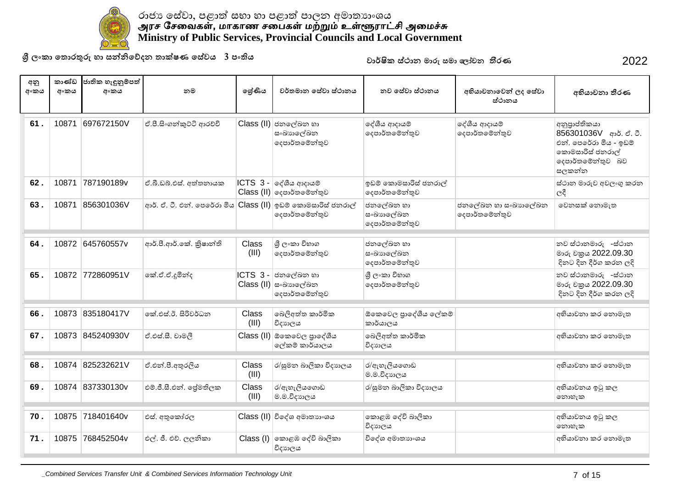

**ɼˢʭˁ˫˳˔ʣˡƱɞ˧˫˦Ǧǧ˳ɩ˖˘˔˫ú˥˒˳˦ʢˣˠ3˚ʭƯˠ** 2022

| අනු<br>අංකය | කාණ්ඩ<br>අංකය | ජාතික හැඳුනුම්පත්<br>අංකය | නම                                                           | ලශ්ණිය         | වර්තමාන සේවා ස්ථානය                                                     | නව සේවා ස්ථානය                           | අභියාචනාවෙන් ලද සේවා<br>ස්ථානය        | අභියාචනා තීරණ                                                                                                       |
|-------------|---------------|---------------------------|--------------------------------------------------------------|----------------|-------------------------------------------------------------------------|------------------------------------------|---------------------------------------|---------------------------------------------------------------------------------------------------------------------|
| 61.         | 10871         | 697672150V                | ඒ.පී.සිංගත්කුට්ටි ආරච්චි                                     |                | Class (II) ජනලේඛන හා<br>ස∘ඛාහලේඛන<br>දෙපාර්තමේන්තුව                     | දේශීය ආදායම්<br>දෙපාර්තමේන්තුව           | දේශීය ආදායම්<br>දෙපාර්තමේන්තුව        | අනුපාප්තිකයා<br>856301036V ආර්. ඒ. ටී.<br>එන්. පෙරේරා මිය - ඉඩම්<br>කොමසාරිස් ජනරාල්<br>දෙපාර්තමේන්තුව බව<br>සලකන්න |
| 62.         | 10871         | 787190189v                | ඒ.බී.ඩබ්.එස්. අත්තනායක                                       |                | $ICTS$ 3 - $e^{3}$ යිය ආදායම්<br>Class (II) ලදපාර්තමේන්තුව              | ඉඩම් කොමසාරිස් ජනරාල්<br>දෙපාර්තමේන්තුව  |                                       | ස්ථාන මාරුව අවලංගු කරන<br>$C\xi$                                                                                    |
| 63.         | 10871         | 856301036V                | ආර්. ඒ. ටී. එන්. පෙරේරා මිය Class (II) ඉඩම් කොමසාරිස් ජනරාල් |                | දෙපාර්තමේන්තුව                                                          | ජනලේඛන හා<br>සංඛාහලේඛන<br>දෙපාර්තමේන්තුව | ජනලේඛන හා සංඛාහලේඛන<br>දෙපාර්තමේන්තුව | වෙනසක් නොමැත                                                                                                        |
| 64.         |               | 10872 645760557y          | ආර්.පී.ආර්.කේ. කිෂාන්ති                                      | Class<br>(III) | ශී ලංකා විහාග<br>දෙපාර්තමේන්තුව                                         | ජනලේඛන හා<br>සංඛාහලේඛන<br>දෙපාර්තමේන්තුව |                                       | නව ස්ථානමාරු -ස්ථාන<br>මාරු චකුය 2022.09.30<br>දිනට දින දීර්ග කරන ලදි                                               |
| 65.         |               | 10872 772860951V          | කේ.ඒ.ඒ.දූමින්ද                                               | ICTS 3-        | ජනලේඛන හා<br>Class (II) සංඛාභලේඛන<br>දෙපාර්තමේන්තුව                     | ශී ලංකා විහාග<br>දෙපාර්තමේන්තුව          |                                       | නව ස්ථානමාරු -ස්ථාන<br>මාරු චකුය 2022.09.30<br>දිනට දින දීර්ග කරන ලදි                                               |
| 66.         | 10873         | 835180417V                | කේ.එස්.ඊ. සිරිවර්ධන                                          | Class<br>(III) | බෙලිඅත්ත කාර්මික<br>විදාහලය                                             | ඕකෙවෙල පාදේශීය ලේකම්<br>කාර්යාලය         |                                       | අභියාවනා කර නොමැත                                                                                                   |
| 67.         |               | 10873 845240930V          | ඒ.එස්.සී. චාමලී                                              |                | Class (II) ඕකෙවෙල පුාදේශීය<br>ලේකම් කාර්යාලය                            | බෙලිඅත්ත කාර්මික<br>විදාහලය              |                                       | අභියාවනා කර නොමැත                                                                                                   |
| 68.         | 10874         | 825232621V                | ඒ.එන්.පී.අතුරලිය                                             | Class<br>(III) | ර/සුමන බාලිකා විදාහලය                                                   | ර/ඇහැලියගොඩ<br>ම.ම.විදාහලය               |                                       | අභියාවනා කර නොමැත                                                                                                   |
| 69.         |               | 10874 837330130v          | එම්.ජී.සී.එන්. ජේමතිලක                                       | Class<br>(III) | ර/ඇහැලියගොඩ<br>ම.ම.විදාහලය                                              | ර/සුමන බාලිකා විදාහලය                    |                                       | අභියාචනය ඉටු කල<br>නොහැක                                                                                            |
| 70.         | 10875         | 718401640v                | එස්. අතුකෝරල                                                 |                | Class (II) විදේශ අමාතාහංශය                                              | කොළඹ දේවි බාලිකා<br>විදාහලය              |                                       | අභියාචනය ඉටු කල<br>නොහැක                                                                                            |
| 71.         |               | 10875 768452504v          | එල්. ජී. එච්. ලලනිකා                                         |                | $\textsf{Class} \left( \mathsf{I} \right)$ ගකාළඹ දේවි බාලිකා<br>විදාහලය | විදේශ අමාතාහංශය                          |                                       | අභියාවනා කර නොමැත                                                                                                   |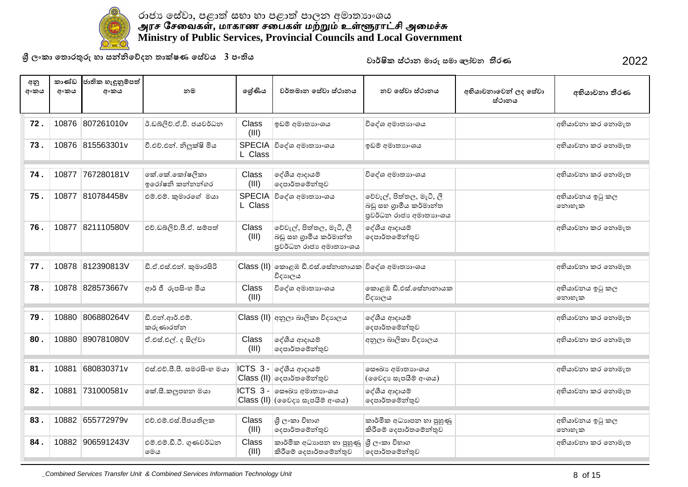

**ɼˢʭˁ˫˳˔ʣˡƱɞ˧˫˦Ǧǧ˳ɩ˖˘˔˫ú˥˒˳˦ʢˣˠ3˚ʭƯˠ** 2022

| අනු<br>අංකය | කාණ්ඩ<br>අංකය | ජාතික හැඳුනුම්පත්<br>අංකය | නම                               | ලශ්ණිය         | වර්තමාන සේවා ස්ථානය                                                                                        | නව සේවා ස්ථානය                                                               | අභියාචනාවෙන් ලද සේවා<br>ස්ථානය | අභියාචනා තීරණ            |
|-------------|---------------|---------------------------|----------------------------------|----------------|------------------------------------------------------------------------------------------------------------|------------------------------------------------------------------------------|--------------------------------|--------------------------|
| 72.         |               | 10876 807261010v          | ඊ.ඩබ්ලිව්.ඒ.වි. ජයවර්ධන          | Class<br>(III) | ඉඩම් අමාතාහංශය                                                                                             | විදේශ අමාතාහංශය                                                              |                                | අභියාචනා කර නොමැත        |
| 73.         |               | 10876 815563301v          | වී.එච්.එන්. නිලුක්ෂි මිය         | L Class        | SPECIA විදේශ අමාතාහංශය                                                                                     | ඉඩම් අමාතාහංශය                                                               |                                | අභියාචනා කර නොමැත        |
| 74.         | 10877         | 767280181V                | කේ.කේ.කෝෂලිකා<br>ඉරෝෂනි කන්නන්ගර | Class<br>(III) | දේශීය ආදායම්<br>දෙපාර්තමේන්තුව                                                                             | විදේශ අමාතාහංශය                                                              |                                | අභියාචනා කර නොමැත        |
| 75.         |               | 10877 810784458v          | එම්.එම්. කුමාරගේ මයා             | L Class        | SPECIA විදේශ අමාතාහංශය                                                                                     | වේවැල්, පිත්තල, මැටි, ලී<br>බඩු සහ ගුාමීය කර්මාන්ත<br>පුවර්ධන රාජා අමාතාහංශය |                                | අභියාචනය ඉටු කල<br>නොහැක |
| 76.         | 10877         | 821110580V                | එච්.ඩබ්ලිව්.පී.ඒ. සම්පත්         | Class<br>(III) | වේවැල්, පිත්තල, මැටී, ලී<br>බඩු සහ ගුාමීය කර්මාන්ත<br>පුවර්ධන රාජා අමාතාහංශය                               | දේශීය ආදායම්<br>දෙපාර්තමේන්තුව                                               |                                | අභියාචනා කර නොමැත        |
| 77.         | 10878         | 812390813V                | ඩී.ඒ.එස්.එන්. කුමාරසිරි          |                | Class (II) කොළඹ ඩී.එස්.සේනානායක විදේශ අමාතාහංශය<br>විදාහලය                                                 |                                                                              |                                | අභියාවනා කර නොමැත        |
| 78.         |               | 10878 828573667v          | ආර් ජී රූපසිංහ මිය               | Class<br>(III) | විදේශ අමාතාහංශය                                                                                            | කොළඹ ඩී.එස්.සේනානායක<br>විදාහලය                                              |                                | අභියාචනය ඉටු කල<br>නොහැක |
| 79.         | 10880         | 806880264V                | ඩී.එන්.ආර්.එම්.<br>කරුණාරත්න     |                | Class (II) අනුලා බාලිකා විදාහලය                                                                            | දේශීය ආදායම්<br>දෙපාර්තමේන්තුව                                               |                                | අභියාවනා කර නොමැත        |
| 80.         |               | 10880 890781080V          | ඒ.එස්.එල්. ද සිල්වා              | Class<br>(III) | දේශීය ආදායම්<br>දෙපාර්තමේන්තුව                                                                             | අනුලා බාලිකා විදාහලය                                                         |                                | අභියාචනා කර නොමැත        |
| 81.         | 10881         | 680830371v                | එස්.එච්.පී.පී. සමරසිංහ මයා       |                | $ CTS_3 - \circ \circ \circ \circ \circ \circ \circ \circ$<br>Class (II) ලදපාර්තමේන්තුව                    | ලසෟඛා අමාතාහංශය<br>(ඉවෙදා සැපයීම් අංශය)                                      |                                | අභියාවනා කර නොමැත        |
| 82.         | 10881         | 731000581v                | කේ.සී.කලුපහන මයා                 |                | $\textsf{ICTS}$ 3 - $\mid$ ණෙබා $\textsf{s}$ අමාතා $\textsf{s}$ ංශය<br>$Class$ (II) $($ මෛදා සැපයීම් අංශය) | දේශීය ආදායම්<br>දෙපාර්තමේන්තුව                                               |                                | අභියාචනා කර නොමැත        |
| 83.         |               | 10882 655772979v          | එච්.එම්.එස්.පීජයතිලක             | Class<br>(III) | ශී ලංකා විහාග<br>දෙපාර්තමේන්තුව                                                                            | කාර්මික අධාහපන හා පුහුණු<br>කිරීමේ දෙපාර්තමේන්තුව                            |                                | අභියාචනය ඉටු කල<br>නොහැක |
| 84.         |               | 10882 906591243V          | එම්.එම්.ඩී.ටී. ගුණවර්ධන<br>මෙය   | Class<br>(III) | කාර්මික අධාහපන හා පුහුණු<br>කිරීමේ දෙපාර්තමේන්තුව                                                          | ශී ලංකා විහාග<br>දෙපාර්තමේන්තුව                                              |                                | අභියාචනා කර නොමැත        |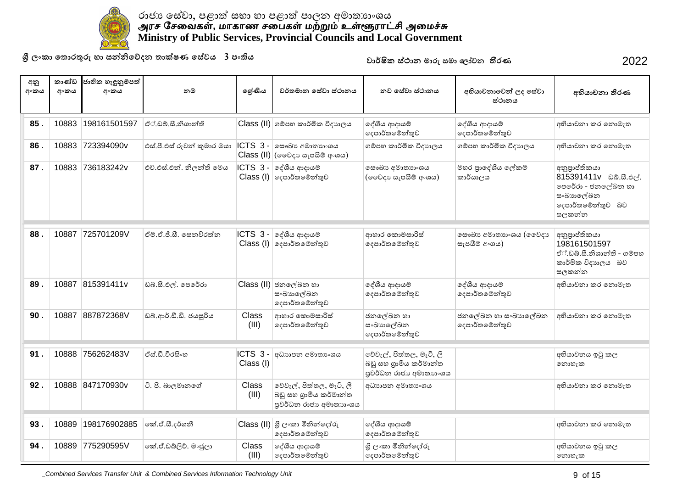

**ɼˢʭˁ˫˳˔ʣˡƱɞ˧˫˦Ǧǧ˳ɩ˖˘˔˫ú˥˒˳˦ʢˣˠ3˚ʭƯˠ** 2022

| අනු<br>අංකය | කාණ්ඩ<br>අංකය | ජාතික හැඳුනුම්පත්<br>අංකය | නම                         | ලශ්ණිය                | වර්තමාන සේවා ස්ථානය                                                                       | නව සේවා ස්ථානය                                                               | අභියාචනාවෙන් ලද සේවා<br>ස්ථානය           | අභියාචනා තීරණ                                                                                                            |
|-------------|---------------|---------------------------|----------------------------|-----------------------|-------------------------------------------------------------------------------------------|------------------------------------------------------------------------------|------------------------------------------|--------------------------------------------------------------------------------------------------------------------------|
| 85.         | 10883         | 198161501597              | ඒ්.ඩබ්.සී.නිශාන්ති         |                       | Class (II) ගම්පහ කාර්මික විදාහලය                                                          | දේශීය ආදායම්<br>දෙපාර්තමේන්තුව                                               | දේශීය ආදායම්<br>දෙපාර්තමේන්තුව           | අභියාචනා කර නොමැත                                                                                                        |
| 86.         | 10883         | 723394090v                | එස්.පී.එස් රුවන් කුමාර මයා |                       | ICTS 3 - ලසංඛා අමාතාහංශය<br>$Class (II)$ (මෛදා සැපයීම් අංශය)                              | ගම්පහ කාර්මික විදාහලය                                                        | ගම්පහ කාර්මික විදාහලය                    | අභියාවනා කර නොමැත                                                                                                        |
| 87.         | 10883         | 736183242v                | එච්.එස්.එන්. නිලන්ති මෙය   |                       | $ CTS $ 3 - $ $ දේශීය ආදායම්<br>$\textsf{Class} \left( \mathsf{I} \right)$ ලදපාර්තමේන්තුව | ලසෟඛා අමාතාගංශය<br>(ඉවෙදා සැපයීම් අංශය)                                      | මහර පාදේශීය ලේකම්<br>කාර්යාලය            | අනුපුාප්තිකයා<br>815391411v ವಿನಿ.ಟಿ.ಲಿ <sub>(</sub> ೆ.<br>පෙරේරා - ජනලේඛන හා<br>සංඛාහලේඛන<br>දෙපාර්තමේන්තුව බව<br>සලකන්න |
| 88.         | 10887         | 725701209V                | ඒම්.ඒ.ජී.සී. සෙනවිරත්ත     | ICTS 3-               | දේශීය ආදායම්<br>$Class (I)$ ලදපාර්තමේන්තුව                                                | ආහාර කොමසාරිස්<br>දෙපාර්තමෙන්තුව                                             | ලසෟඛා අමාතාහංශය (ලෙවදාා<br>සැපයීම් අංශය) | අනුපාප්තිකයා<br>198161501597<br>ඒ්.ඩබ්.සී.නිශාන්ති - ගම්පහ<br>කාර්මික විදාහලය බව<br>සලකන්න                               |
| 89.         | 10887         | 815391411v                | ඩබ්.සී.එල්. පෙරේරා         |                       | Class (II) ජනලේඛන හා<br>සංඛාහලේඛන<br>දෙපාර්තමෙන්තුව                                       | දේශීය ආදායම්<br>දෙපාර්තමෙන්තුව                                               | දේශීය ආදායම්<br>දෙපාර්තමේන්තුව           | අභියාචනා කර නොමැත                                                                                                        |
| 90.         | 10887         | 887872368V                | ඩබ්.ආර්.ඩී.ඩී. ජයසූරිය     | <b>Class</b><br>(III) | ආහාර කොමසාරිස්<br>දෙපාර්තමේන්තුව                                                          | ජනලේඛන හා<br>සංඛාහලේඛන<br>දෙපාර්තමෙන්තුව                                     | ජනලේඛන හා සංඛාහලේඛන<br>දෙපාර්තමේන්තුව    | අභියාචනා කර නොමැත                                                                                                        |
| 91.         | 10888         | 756262483V                | ඒස්.ඩී.වීරසිංහ             | ICTS 3-<br>Class (I)  | අධාහපන අමාතා ෙශය                                                                          | වේවැල්, පිත්තල, මැටි, ලී<br>බඩු සහ ගුාමීය කර්මාන්ත<br>පුවර්ධන රාජා අමාතාගංශය |                                          | අභියාචනය ඉටු කල<br>නොහැක                                                                                                 |
| 92.         |               | 10888 847170930v          | ටී. පී. බාලමානගේ           | Class<br>(III)        | වේවැල්, පිත්තල, මැටි, ලී<br>බඩු සහ ගුාමීය කර්මාන්ත<br>පුවර්ධන රාජා අමාතාහංශය              | අධාහපන අමාතා ශය                                                              |                                          | අභියාචනා කර නොමැත                                                                                                        |
| 93.         | 10889         | 198176902885              | කේ.ඒ.සී.දර්ශනී             |                       | $\text{Class (II)}$ ශුී ලංකා මිනින්දෝරු<br>දෙපාර්තමේන්තුව                                 | දේශීය ආදායම්<br>දෙපාර්තමේන්තුව                                               |                                          | අභියාචනා කර නොමැත                                                                                                        |
| 94.         | 10889         | 775290595V                | කේ.ඒ.ඩබ්ලිව්. මංජූලා       | <b>Class</b><br>(III) | දේශීය ආදායම්<br>දෙපාර්තමේන්තුව                                                            | ශී ලංකා මිනින්දෝරු<br>දෙපාර්තමේන්තුව                                         |                                          | අභියාවනය ඉටු කල<br>නොහැක                                                                                                 |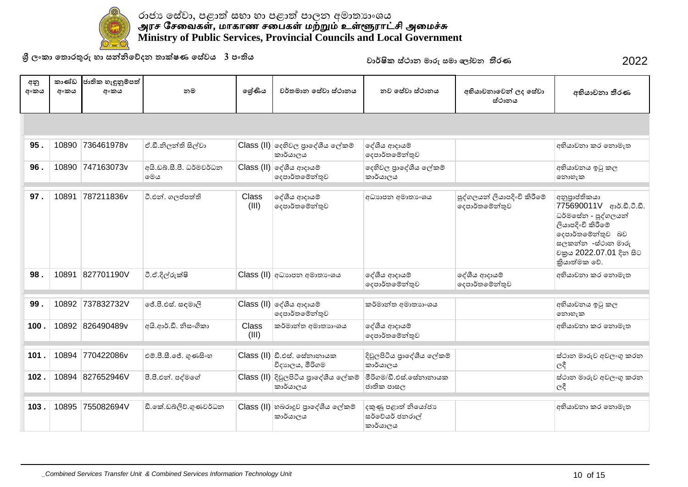

**ɼˢʭˁ˫˳˔ʣˡƱɞ˧˫˦Ǧǧ˳ɩ˖˘˔˫ú˥˒˳˦ʢˣˠ3˚ʭƯˠ** 2022

| අනු<br>අංකය | කාණ්ඩ<br>අංකය | ජාතික හැඳුනුම්පත්<br>අංකය | නම                              | ලශ්ණිය                | වර්තමාන සේවා ස්ථානය                              | නුව සේවා ස්ථානය                                   | අභියාචනාවෙන් ලද සේවා<br>ස්ථානය                | අභියාචනා තීරණ                                                                                                                                                              |  |  |
|-------------|---------------|---------------------------|---------------------------------|-----------------------|--------------------------------------------------|---------------------------------------------------|-----------------------------------------------|----------------------------------------------------------------------------------------------------------------------------------------------------------------------------|--|--|
|             |               |                           |                                 |                       |                                                  |                                                   |                                               |                                                                                                                                                                            |  |  |
| 95.         | 10890         | 736461978v                | ඒ.ඩී.නිලන්ති සිල්වා             |                       | Class (II) දෙහිවල පුාදේශීය ලේකම්<br>කාර්යාලය     | දේශීය ආදායම්<br> ලදපාර්තමේන්තුව                   |                                               | අභියාචනා කර තොමැත                                                                                                                                                          |  |  |
| 96.         | 10890         | 747163073v                | අයි.ඩබ්.සී.පී. ධර්මවර්ධන<br>මෙය |                       | $Class$ (II) ලද්ශීය ආදායම්<br>දෙපාර්තමේන්තුව     | දෙහිවල පුාදේශීය ලේකම්<br>කාර්යාලය                 |                                               | අභියාවනය ඉටු කල<br>෩හැක                                                                                                                                                    |  |  |
| 97.         | 10891         | 787211836v                | ටී.එන්. ගලප්පත්ති               | Class<br>(III)        | දේශීය ආදායම්<br>දෙපාර්තමේන්තුව                   | අධාහපන අමාතාංශය                                   | පුද්ගලයන් ලියාපදිංචි කිරීමේ<br>දෙපාර්තමේන්තුව | අනුපාප්තිකයා<br>775690011V ආර්.ඩී.ටී.ඩී.<br>ධර්මසේන - පුද්ගලයන්<br>ලියාපදිංචි කිරීමේ<br>දෙපාර්තමේන්තුව බව<br>සලකන්න -ස්ථාන මාරු<br>වකුය 2022.07.01 දින සිට<br>කියාත්මක වේ. |  |  |
| 98.         | 10891         | 827701190V                | ටී.ඒ.දිල්රුක්ෂි                 |                       | Class (II) අධාහාපන අමාතාංශය                      | ලද්ශීය ආදායම්<br> ලදපාර්තමේන්තුව                  | දේශීය ආදායම්<br>දෙපාර්තමේන්තුව                | අභියාචනා කර තොමැත                                                                                                                                                          |  |  |
| 99.         | 10892         | 737832732V                | ජේ.පී.එස්. සඳමාලි               |                       | $Class$ (II) ලද්ශීය ආදායම්<br>දෙපාර්තමේන්තුව     | කර්මාන්ත අමාතාහංශය                                |                                               | අභියාචනය ඉටු කල<br>නොහැක                                                                                                                                                   |  |  |
| 100.        |               | 10892 826490489v          | අයි.ආර්.ඩී. නිසංගිකා            | <b>Class</b><br>(III) | කර්මාන්ත අමාතාහංශය                               | ලද්ශීය ආදායම්<br> ලදපාර්තමේන්තුව                  |                                               | අභියාවනා කර නොමැත                                                                                                                                                          |  |  |
| 101.        | 10894         | 770422086v                | එම්.පී.සී.ජේ. ගුණසිංහ           |                       | $Class (II)$ ඩී.එස්. සේනානායක<br>විදාහලය, මීරිගම | දිවුලපිටිය පුාදේශීය ලේකම්<br>කාර්යාලය             |                                               | ස්ථාන මාරුව අවලංගු කරන<br>$C^2$                                                                                                                                            |  |  |
| 102.        | 10894         | 827652946V                | පී.පී.එන්. පද්මගේ               |                       | Class (II) දිවුලපිටිය පුාදේශීය ලේකම්<br>කාර්යාලය | මිරිගම/ඩී එස් සේනානායක<br>ජාතික පාසල              |                                               | ස්ථාන මාරුව අවලංගු කරන<br>ලදී                                                                                                                                              |  |  |
| 103.        | 10895         | 755082694V                | ඩී.කේ.ඩබ්ලිව්.ගුණවර්ධන          |                       | Class (II) හබරාදුව පුාදේශීය ලේකම්<br>කාර්යාලය    | දකුණු පළාත් නියෝජා<br>සර්වේයර් ජනරාල්<br>කාර්යාලය |                                               | අභියාවනා කර නොමැත                                                                                                                                                          |  |  |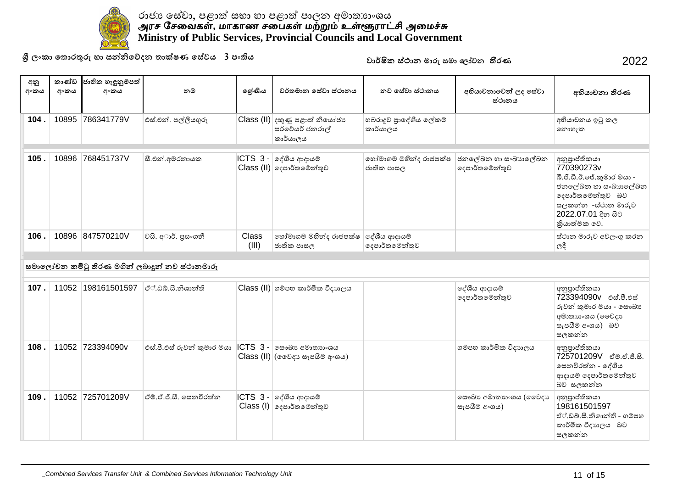

**ɼˢʭˁ˫˳˔ʣˡƱɞ˧˫˦Ǧǧ˳ɩ˖˘˔˫ú˥˒˳˦ʢˣˠ3˚ʭƯˠ** 2022

| අනු<br>අංකය | කාණ්ඩ<br>අංකය | ජාතික හැඳුනුම්පත්<br>අංකය | නම                                                   | ලේණිය          | වර්තමාන සේවා ස්ථානය                                                                        | නව සේවා ස්ථානය                      | අභියාචනාවෙන් ලද සේවා<br>ස්ථානය           | අභියාචනා තීරණ                                                                                                                                                    |
|-------------|---------------|---------------------------|------------------------------------------------------|----------------|--------------------------------------------------------------------------------------------|-------------------------------------|------------------------------------------|------------------------------------------------------------------------------------------------------------------------------------------------------------------|
| 104.        | 10895         | 786341779V                | එස්.එන්. පල්ලියගුරු                                  |                | Class (II) දකුණු පළාත් නියෝජා<br>සර්වේයර් ජනරාල්<br>කාර්යාලය                               | හබරාදුව පාදේශීය ලේකම්<br>කාර්යාලය   |                                          | අභියාචනය ඉටු කල<br>නොහැක                                                                                                                                         |
| 105.        | 10896         | 768451737V                | සී.එන්.අමරතායක                                       | ICTS 3-        | ලද්ශීය ආදායම්<br>Class (II) ලදපාර්තමේන්තුව                                                 | හෝමාගම මහින්ද රාජපක්ෂ<br>ජාතික පාසල | ජනලේඛන හා සංඛාහලේඛන<br>දෙපාර්තමේන්තුව    | අනුපාප්තිකයා<br>770390273v<br>බී.ජී.ඩී.ඊ.ජේ.කුමාර මයා -<br>ජනලේඛන හා සංඛාහලේඛන<br>දෙපාර්තමේන්තුව බව<br>සලකන්න -ස්ථාන මාරුව<br>2022.07.01 දින සිට<br>කියාත්මක වේ. |
| 106.        |               | 10896 847570210V          | වයි. අාර්. පුසංගනී                                   | Class<br>(III) | හෝමාගම මහින්ද රාජපක්ෂ ලද්ශීය ආදායම්<br>ජාතික පාසල                                          | දෙපාර්තමේන්තුව                      |                                          | ස්ථාන මාරුව අවලංගු කරන<br>$ e^{\xi} $                                                                                                                            |
|             |               |                           | <u>සමාලෝචන කමිටු තීරණ මගින් ලබාදූන් නව ස්ථානමාරු</u> |                |                                                                                            |                                     |                                          |                                                                                                                                                                  |
| 107.        |               | 11052 198161501597        | ්ථ,ඩබු,සී,නිශාන්ති                                   |                | Class (II) ගම්පහ කාර්මික විදාහලය                                                           |                                     | දේශීය ආදායම්<br>දෙපාර්තමේන්තුව           | අනුපාප්තිකයා<br>723394090v එස්.පී.එස්<br>රුවන් කුමාර මයා - සෞඛා<br>අමාතාහංශය (මෛදාහ<br>සැපයීම් අංශය) බව<br>සලකන්න                                                |
| 108.        |               | 11052 723394090v          | එස්.පී.එස් රුවන් කුමාර මයා                           |                | $ $ ICTS $ 3 - \rangle$ සෞඛා $\mathfrak{so}$ අමාතාහංශය<br>$Class$ (II) (වෛදා සැපයීම් අංශය) |                                     | ගම්පහ කාර්මික විදාහලය                    | අනුපාප්තිකයා<br>725701209V c@cc.e.a.<br>සෙනවිරත්න - දේශීය<br>ආදායම් දෙපාර්තමේන්තුව<br>බව සලකන්න                                                                  |
| 109.        |               | 11052 725701209V          | ්ථම,ඒ,ජී.සී. සෙනවිරත්ත                               |                | $\textsf{ICTS}$ 3 - $\textcolor{red}{\circ}$ දේශීය ආදායම්<br>$Class (I)$ ලදපාර්තමේන්තුව    |                                     | ලසෟඛා අමාතාහංශය (ඉවෙදාා<br>සැපයීම් අංශය) | අනුපාප්තිකයා<br>198161501597<br>ඒ්.ඩබ්.සී.නිශාන්ති - ගම්පහ<br>කාර්මික විදාහලය බව<br>සලකන්න                                                                       |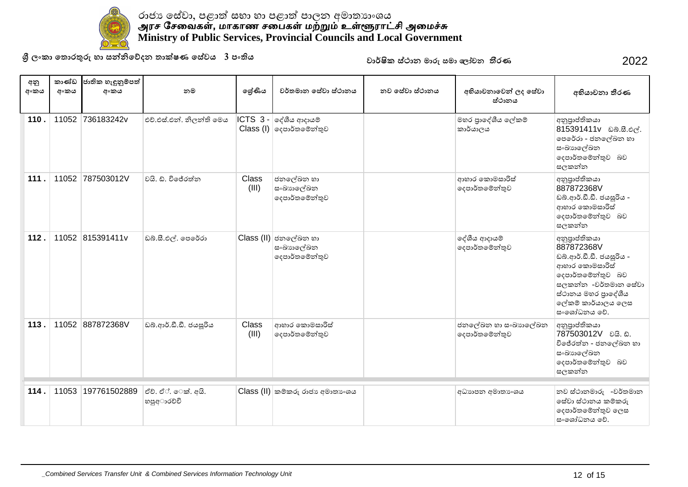

**ɼˢʭˁ˫˳˔ʣˡƱɞ˧˫˦Ǧǧ˳ɩ˖˘˔˫ú˥˒˳˦ʢˣˠ3˚ʭƯˠ** 2022

| අනු<br>අංකය | කාණ්ඩ<br>අංකය | ජාතික හැඳුනුම්පත්<br>අංකය | නම                               | ලශ්ණිය         | වර්තමාන සේවා ස්ථානය                                                          | නව සේවා ස්ථානය | අභියාචනාවෙන් ලද සේවා<br>ස්ථානය        | අභියාචනා තීරණ                                                                                                                                                                    |
|-------------|---------------|---------------------------|----------------------------------|----------------|------------------------------------------------------------------------------|----------------|---------------------------------------|----------------------------------------------------------------------------------------------------------------------------------------------------------------------------------|
| 110.        |               | 11052 736183242v          | එච්.එස්.එන්. නිලන්ති මෙය         |                | $\textsf{ICTS}$ 3 - $\textsf{or}$ දීශීය ආදායම්<br>$Class (I)$ ලදපාර්තමේන්තුව |                | මහර පාදේශීය ලේකම්<br>කාර්යාලය         | අනුපාප්තිකයා<br>815391411v ವಿನಿ.ಟಿ.ಲಿල්.<br>පෙරේරා - ජනලේඛන හා<br>සංඛාහලේඛන<br>දෙපාර්තමේන්තුව බව<br>සලකන්න                                                                       |
| 111.        |               | 11052 787503012V          | වයි. ඩී. විජේරත්න                | Class<br>(III) | ජනලේඛන හා<br>සංඛාහලේඛන<br>දෙපාර්තමේන්තුව                                     |                | ආහාර කොමසාරිස්<br>දෙපාර්තමේන්තුව      | අනුපාප්තිකයා<br>887872368V<br>ඩබ්.ආර්.ඩී.ඩී. ජයසූරිය -<br>ආහාර කොමසාරිස්<br>දෙපාර්තමේන්තුව බව<br>සලකන්න                                                                          |
| 112.        |               | 11052 815391411v          | ඩබ්.සී.එල්. පෙරේරා               |                | Class (II) ජනලේඛන හා<br>සංඛාහලේඛන<br>දෙපාර්තමේන්තුව                          |                | දේශීය ආදායම්<br>දෙපාර්තමේන්තුව        | අනුපාප්තිකයා<br>887872368V<br>ඩබ්.ආර්.ඩී.ඩී. ජයසූරිය -<br>ආහාර කොමසාරිස්<br>දෙපාර්තමේන්තුව බව<br>සලකන්න -වර්තමාන සේවා<br>ස්ථානය මහර පාදේශීය<br>ලේකම් කාර්යාලය ලෙස<br>සංශෝධනය වේ. |
| 113.        |               | 11052 887872368V          | ඩබ්.ආර්.ඩී.ඩී. ජයසූරිය           | Class<br>(III) | ආහාර කොමසාරිස්<br>දෙපාර්තමේන්තුව                                             |                | ජනලේඛන හා සංඛාහලේඛන<br>දෙපාර්තමේන්තුව | අනුපාප්තිකයා<br>787503012V ರಿಡಿ. ವಿ.<br>විජේරත්න - ජනලේඛන හා<br>සංඛාහලේඛන<br>දෙපාර්තමේන්තුව බව<br>සලකන්න                                                                         |
| 114.        |               | 11053 197761502889        | ඒච්. ඒ්. ෙක්. අයි.<br>හපුඅාරව්චි |                | $Class$ (II) කම්කරු රාජා අමාතාංශය                                            |                | අධාහපන අමාතා ෙශය                      | නව ස්ථානමාරු -වර්තමාන<br>සේවා ස්ථානය කම්කරු<br>දෙපාර්තමේන්තුව ලෙස<br>සංශෝධනය වේ.                                                                                                 |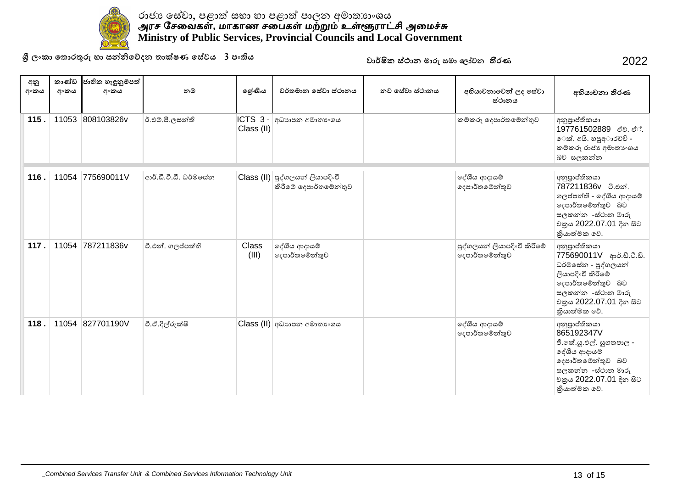

**ɼˢʭˁ˫˳˔ʣˡƱɞ˧˫˦Ǧǧ˳ɩ˖˘˔˫ú˥˒˳˦ʢˣˠ3˚ʭƯˠ** 2022

| අනු<br>අංකය | කාණ්ඩ<br>අංකය | ජාතික හැඳුනුම්පත්<br>අංකය | නම                    | ලශ්ණිය                  | වර්තමාන සේවා ස්ථානය                                                                    | නව සේවා ස්ථානය | අභියාචනාවෙන් ලද සේවා<br>ස්ථානය                | අභියාචනා තීරණ                                                                                                                                                              |
|-------------|---------------|---------------------------|-----------------------|-------------------------|----------------------------------------------------------------------------------------|----------------|-----------------------------------------------|----------------------------------------------------------------------------------------------------------------------------------------------------------------------------|
| 115.        | 11053         | 808103826v                | ඊ.එම්.පී.ලසන්ති       | $ICTS3$ .<br>Class (II) | අධාහපන අමාතා ශය                                                                        |                | කම්කරු දෙපාර්තමේන්තුව                         | අනුපාප්තිකයා<br>197761502889 ඒව. ඒ .<br>ෙක්. අයි. හපුඅාරචචි -<br>කම්කරු රාජා අමාතාංශය<br>බව සලකන්න                                                                         |
| 116.        | 11054         | 775690011V                | ආර්.ඩී.ටී.ඩී. ධර්මසේන |                         | $\textsf{Class}\left(\textsf{II}\right)$ පුද්ගලයන් ලියාපදිංචි<br>කිරීමේ දෙපාර්තමේන්තුව |                | දේශීය ආදායම්<br>දෙපාර්තමේන්තුව                | අනුපාප්තිකයා<br>787211836v ටී.එන්.<br>ගලප්පත්ති - දේශීය ආදායම්<br>දෙපාර්තමේන්තුව බව<br>සලකන්න -ස්ථාන මාරු<br>වකුය 2022.07.01 දින සිට<br>තියාත්මක වේ.                       |
| 117.        | 11054         | 787211836v                | ටී.එන්. ගලප්පත්ති     | Class<br>(III)          | දේශීය ආදායම්<br>දෙපාර්තමේන්තුව                                                         |                | පුද්ගලයන් ලියාපදිංචි කිරීමේ<br>දෙපාර්තමේන්තුව | අනුපාප්තිකයා<br>775690011V ආර්.ඩී.ටී.ඩී.<br>ධර්මසේන - පුද්ගලයන්<br>ලියාපදිංචි කිරීමේ<br>දෙපාර්තමේන්තුව බව<br>සලකන්න -ස්ථාන මාරු<br>වකුය 2022.07.01 දින සිට<br>කියාත්මක වේ. |
| 118.        |               | 11054 827701190V          | ටී.ඒ.දිල්රුක්ෂි       |                         | Class (II) අධාහාපන අමාතාංශය                                                            |                | දේශීය ආදායම්<br>දෙපාර්තමේන්තුව                | අනුපාප්තිකයා<br>865192347V<br>ජී.කේ.යූ.එල්. සුගතපාල -<br>ලද්ශීය ආදායම්<br>දෙපාර්තමේන්තුව බව<br>සලකන්න -ස්ථාන මාරු<br>වකුය 2022.07.01 දින සිට<br>කියාත්මක වේ.               |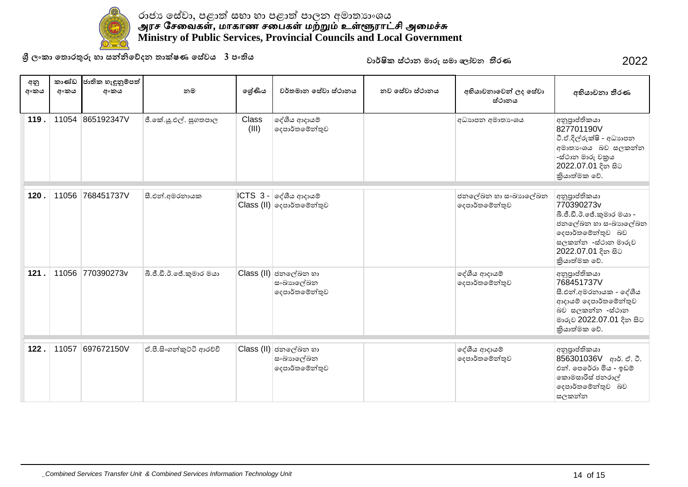

**ɼˢʭˁ˫˳˔ʣˡƱɞ˧˫˦Ǧǧ˳ɩ˖˘˔˫ú˥˒˳˦ʢˣˠ3˚ʭƯˠ** 2022

| අනු<br>අංකය | කාණ්ඩ<br>අංකය | ජාතික හැඳුනුම්පත්<br>අංකය | නම                       | ලේණිය                 | වර්තමාන සේවා ස්ථානය                                                              | නව සේවා ස්ථානය | අභියාචනාවෙන් ලද සේවා<br>ස්ථානය        | අභියාචනා තීරණ                                                                                                                                                    |
|-------------|---------------|---------------------------|--------------------------|-----------------------|----------------------------------------------------------------------------------|----------------|---------------------------------------|------------------------------------------------------------------------------------------------------------------------------------------------------------------|
| 119.        |               | 11054 865192347V          | ජී.කේ.යූ.එල්. සුගතපාල    | <b>Class</b><br>(III) | දේශීය ආදායම්<br> ලදපාර්තමේන්තුව                                                  |                | අධාහපන අමාතා ංශය                      | අනුපාප්තිකයා<br>827701190V<br>ටී.ඒ.දිල්රුක්ෂි - අධාහපන<br>අමාතාංශය බව සලකන්න<br>-ස්ථාන මාරු චකුය<br>2022.07.01 දින සිට<br>තියාත්මක වේ.                           |
| 120.        |               | 11056 768451737V          | සී.එන්.අමරතායක           |                       | $\textsf{ICTS} \ \ 3$ - $\textsf{erf}$ ගිය ආදායම්<br>$Class (II)$ ලදපාර්තමේන්තුව |                | ජනලේඛන හා සංඛාහලේඛන<br>දෙපාර්තමේන්තුව | අනුපාප්තිකයා<br>770390273v<br>බී.ජී.ඩී.ඊ.ජේ.කුමාර මයා -<br>ජනලේඛන හා සංඛාහලේඛන<br>දෙපාර්තමේන්තුව බව<br>සලකන්න -ස්ථාන මාරුව<br>2022.07.01 දින සිට<br>කියාත්මක වේ. |
| 121.        |               | 11056 770390273v          | බී.ජී.ඩී.ඊ.ජේ.කුමාර මයා  |                       | Class (II) ජනලේඛන හා<br>සංඛාහලේඛන<br>දෙපාර්තමේන්තුව                              |                | දේශීය ආදායම්<br>දෙපාර්තමේන්තුව        | අනුපාප්තිකයා<br>768451737V<br>සී.එන්.අමරතායක - දේශීය<br>ආදායම් දෙපාර්තමේන්තුව<br>බව සලකන්න -ස්ථාන<br>මාරුව 2022.07.01 දින සිට<br>කියාත්මක වේ.                    |
| 122.        | 11057         | 697672150V                | ඒ.පී.සිංගන්කුට්ටි ආරච්චි |                       | Class (II) ජනලේඛන හා<br>සංඛාහලේඛන<br> ලදපාර්තමේන්තුව                             |                | දේශීය ආදායම්<br>දෙපාර්තමේන්තුව        | අනුපාප්තිකයා<br>856301036V ආර්. ඒ. ටී.<br>එන්. පෙරේරා මිය - ඉඩම්<br>කොමසාරිස් ජනරාල්<br>දෙපාර්තමේන්තුව බව<br>සලකන්න                                              |